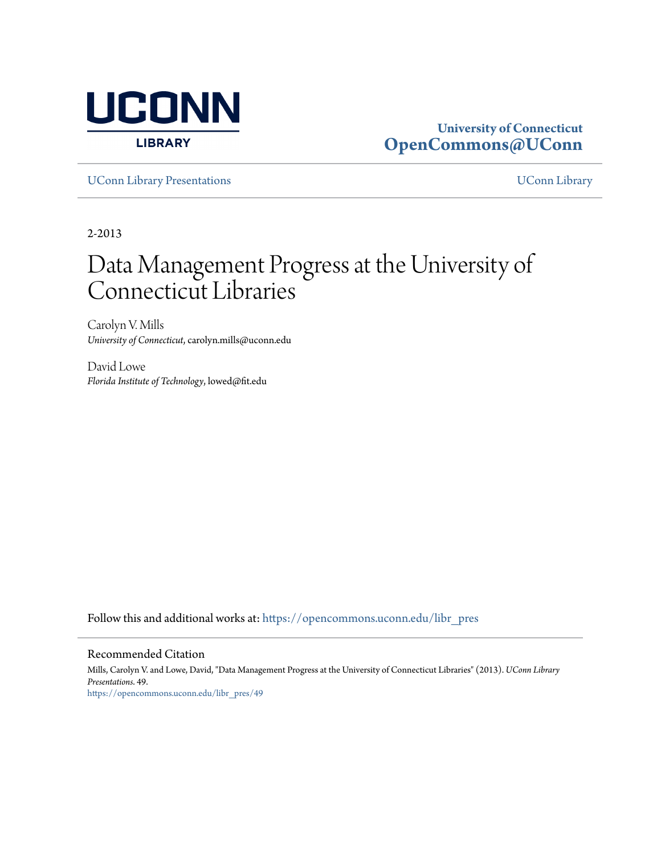

#### **University of Connecticut [OpenCommons@UConn](https://opencommons.uconn.edu?utm_source=opencommons.uconn.edu%2Flibr_pres%2F49&utm_medium=PDF&utm_campaign=PDFCoverPages)**

[UConn Library Presentations](https://opencommons.uconn.edu/libr_pres?utm_source=opencommons.uconn.edu%2Flibr_pres%2F49&utm_medium=PDF&utm_campaign=PDFCoverPages) [UConn Library](https://opencommons.uconn.edu/libr?utm_source=opencommons.uconn.edu%2Flibr_pres%2F49&utm_medium=PDF&utm_campaign=PDFCoverPages)

2-2013

#### Data Management Progress at the University of Connecticut Libraries

Carolyn V. Mills *University of Connecticut*, carolyn.mills@uconn.edu

David Lowe *Florida Institute of Technology*, lowed@fit.edu

Follow this and additional works at: [https://opencommons.uconn.edu/libr\\_pres](https://opencommons.uconn.edu/libr_pres?utm_source=opencommons.uconn.edu%2Flibr_pres%2F49&utm_medium=PDF&utm_campaign=PDFCoverPages)

#### Recommended Citation

Mills, Carolyn V. and Lowe, David, "Data Management Progress at the University of Connecticut Libraries" (2013). *UConn Library Presentations*. 49. [https://opencommons.uconn.edu/libr\\_pres/49](https://opencommons.uconn.edu/libr_pres/49?utm_source=opencommons.uconn.edu%2Flibr_pres%2F49&utm_medium=PDF&utm_campaign=PDFCoverPages)